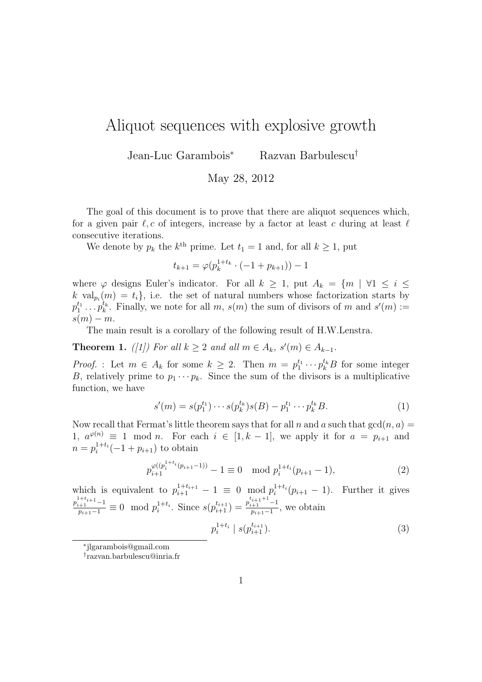## Aliquot sequences with explosive growth

Jean-Luc Garambois<sup>∗</sup> Razvan Barbulescu†

May 28, 2012

The goal of this document is to prove that there are aliquot sequences which, for a given pair  $\ell, c$  of integers, increase by a factor at least c during at least  $\ell$ consecutive iterations.

We denote by  $p_k$  the  $k^{\text{th}}$  prime. Let  $t_1 = 1$  and, for all  $k \geq 1$ , put

$$
t_{k+1} = \varphi(p_k^{1+t_k} \cdot (-1 + p_{k+1})) - 1
$$

where  $\varphi$  designs Euler's indicator. For all  $k \geq 1$ , put  $A_k = \{m \mid \forall 1 \leq i \leq k\}$  $k \operatorname{val}_{p_i}(m) = t_i$ , i.e. the set of natural numbers whose factorization starts by  $p_1^{t_1} \dots p_k^{t_k}$ . Finally, we note for all m,  $s(m)$  the sum of divisors of m and  $s'(m) :=$  $s(m) - m$ .

The main result is a corollary of the following result of H.W.Lenstra.

**Theorem 1.** ([1]) For all  $k \geq 2$  and all  $m \in A_k$ ,  $s'(m) \in A_{k-1}$ .

*Proof.* : Let  $m \in A_k$  for some  $k \geq 2$ . Then  $m = p_1^{t_1} \cdots p_k^{t_k} B$  for some integer B, relatively prime to  $p_1 \cdots p_k$ . Since the sum of the divisors is a multiplicative function, we have

$$
s'(m) = s(p_1^{t_1}) \cdots s(p_k^{t_k})s(B) - p_1^{t_1} \cdots p_k^{t_k}B.
$$
 (1)

Now recall that Fermat's little theorem says that for all n and a such that  $gcd(n, a)$ 1,  $a^{\varphi(n)} \equiv 1 \mod n$ . For each  $i \in [1, k-1]$ , we apply it for  $a = p_{i+1}$  and  $n = p_i^{1+t_i}(-1 + p_{i+1})$  to obtain

$$
p_{i+1}^{\varphi((p_i^{1+t_i}(p_{i+1}-1))} - 1 \equiv 0 \mod p_i^{1+t_i}(p_{i+1}-1), \tag{2}
$$

which is equivalent to  $p_{i+1}^{1+t_{i+1}}-1 \equiv 0 \mod p_i^{1+t_i}(p_{i+1}-1)$ . Further it gives  $\frac{p_{i+1}^{1+t_{i+1}-1}}{p_{i+1}-1} \equiv 0 \mod p_i^{1+t_i}$ . Since  $s(p_{i+1}^{t_{i+1}}) = \frac{p_{i+1}^{t_{i+1}+1}-1}{p_{i+1}-1}$  $\frac{p_{i+1}-1}{p_{i+1}-1}$ , we obtain

$$
p_i^{1+t_i} \mid s(p_{i+1}^{t_{i+1}}). \tag{3}
$$

∗ jlgarambois@gmail.com

<sup>†</sup> razvan.barbulescu@inria.fr